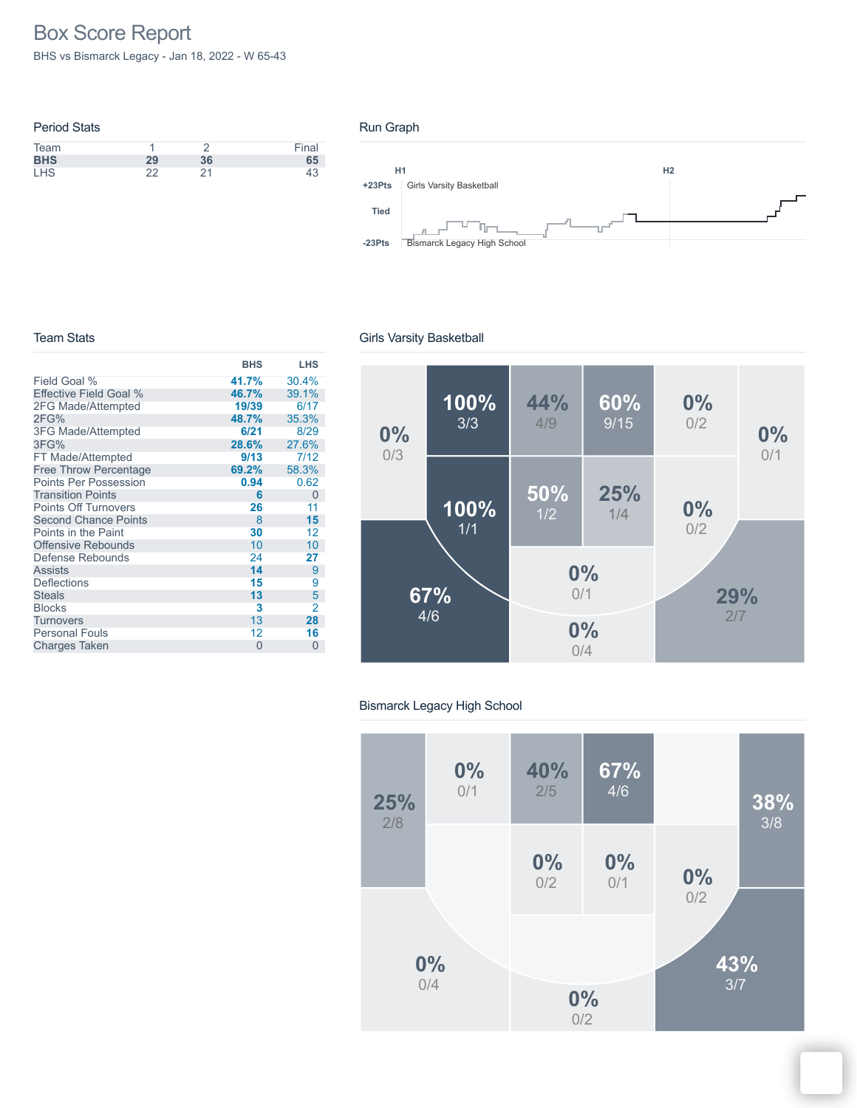# Box Score Report

BHS vs Bismarck Legacy - Jan 18, 2022 - W 65-43

| <b>Period Stats</b> |    |    |       |
|---------------------|----|----|-------|
| Team                |    |    | Final |
| <b>BHS</b>          | 29 | 36 | 65    |
| <b>LHS</b>          | つつ | 21 | 43    |

#### Run Graph



#### Team Stats

|                               | <b>BHS</b> | LHS      |
|-------------------------------|------------|----------|
| Field Goal %                  | 41.7%      | 30.4%    |
| <b>Effective Field Goal %</b> | 46.7%      | 39.1%    |
| 2FG Made/Attempted            | 19/39      | 6/17     |
| 2FG%                          | 48.7%      | 35.3%    |
| <b>3FG Made/Attempted</b>     | 6/21       | 8/29     |
| 3FG%                          | 28.6%      | 27.6%    |
| FT Made/Attempted             | 9/13       | 7/12     |
| <b>Free Throw Percentage</b>  | 69.2%      | 58.3%    |
| Points Per Possession         | 0.94       | 0.62     |
| <b>Transition Points</b>      | 6          | 0        |
| <b>Points Off Turnovers</b>   | 26         | 11       |
| <b>Second Chance Points</b>   | 8          | 15       |
| Points in the Paint           | 30         | 12       |
| <b>Offensive Rebounds</b>     | 10         | 10       |
| Defense Rebounds              | 24         | 27       |
| <b>Assists</b>                | 14         | 9        |
| <b>Deflections</b>            | 15         | 9        |
| <b>Steals</b>                 | 13         | 5        |
| <b>Blocks</b>                 | 3          | 2        |
| <b>Turnovers</b>              | 13         | 28       |
| <b>Personal Fouls</b>         | 12         | 16       |
| <b>Charges Taken</b>          | $\Omega$   | $\Omega$ |

### Girls Varsity Basketball



### Bismarck Legacy High School